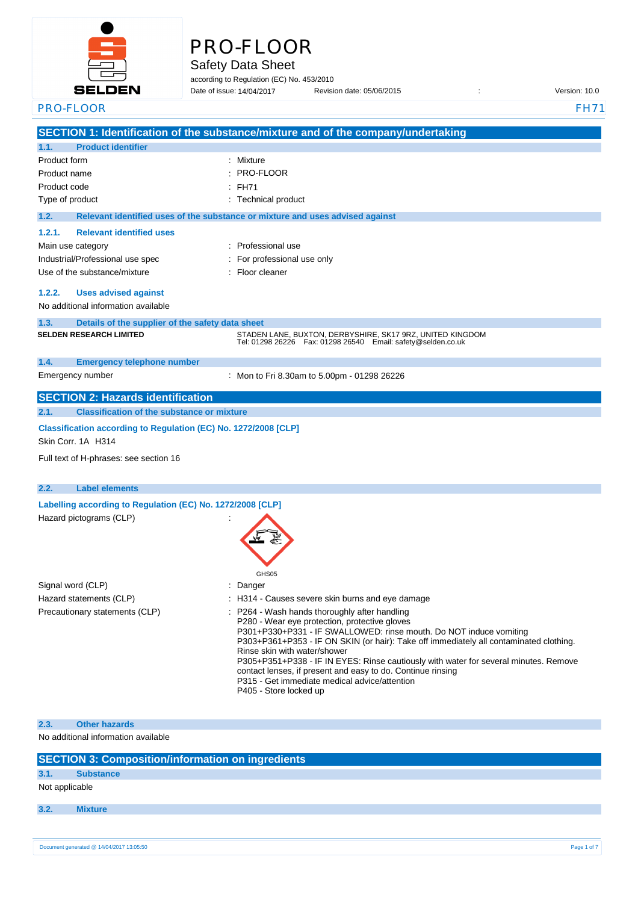

# PRO-FLOOR

Safety Data Sheet

according to Regulation (EC) No. 453/2010 Date of issue: Revision date: 05/06/2015 : Version: 10.0 Date of issue: 14/04/2017

| PRO-FLOOR                                                                             | <b>FH71</b>                                                                                                                                                  |
|---------------------------------------------------------------------------------------|--------------------------------------------------------------------------------------------------------------------------------------------------------------|
|                                                                                       | SECTION 1: Identification of the substance/mixture and of the company/undertaking                                                                            |
| <b>Product identifier</b><br>1.1.                                                     |                                                                                                                                                              |
| Product form                                                                          | Mixture                                                                                                                                                      |
| Product name                                                                          | PRO-FLOOR                                                                                                                                                    |
| Product code                                                                          | <b>FH71</b>                                                                                                                                                  |
| Type of product                                                                       | Technical product                                                                                                                                            |
| 1.2.                                                                                  | Relevant identified uses of the substance or mixture and uses advised against                                                                                |
| 1.2.1.<br><b>Relevant identified uses</b>                                             |                                                                                                                                                              |
| Main use category                                                                     | : Professional use                                                                                                                                           |
| Industrial/Professional use spec                                                      | For professional use only                                                                                                                                    |
| Use of the substance/mixture                                                          | Floor cleaner                                                                                                                                                |
|                                                                                       |                                                                                                                                                              |
| <b>Uses advised against</b><br>1.2.2.                                                 |                                                                                                                                                              |
| No additional information available                                                   |                                                                                                                                                              |
| 1.3.<br>Details of the supplier of the safety data sheet                              |                                                                                                                                                              |
| <b>SELDEN RESEARCH LIMITED</b>                                                        | STADEN LANE, BUXTON, DERBYSHIRE, SK17 9RZ, UNITED KINGDOM<br>Tel: 01298 26226    Fax: 01298 26540    Email: safety@selden.co.uk                              |
|                                                                                       |                                                                                                                                                              |
| 1.4.<br><b>Emergency telephone number</b>                                             |                                                                                                                                                              |
| Emergency number                                                                      | : Mon to Fri 8.30am to 5.00pm - 01298 26226                                                                                                                  |
| <b>SECTION 2: Hazards identification</b>                                              |                                                                                                                                                              |
| 2.1.<br><b>Classification of the substance or mixture</b>                             |                                                                                                                                                              |
| Classification according to Regulation (EC) No. 1272/2008 [CLP]<br>Skin Corr. 1A H314 |                                                                                                                                                              |
| Full text of H-phrases: see section 16                                                |                                                                                                                                                              |
|                                                                                       |                                                                                                                                                              |
| 2.2.<br><b>Label elements</b>                                                         |                                                                                                                                                              |
| Labelling according to Regulation (EC) No. 1272/2008 [CLP]                            |                                                                                                                                                              |
| Hazard pictograms (CLP)                                                               |                                                                                                                                                              |
|                                                                                       |                                                                                                                                                              |
|                                                                                       |                                                                                                                                                              |
|                                                                                       |                                                                                                                                                              |
|                                                                                       | GHS05                                                                                                                                                        |
| Signal word (CLP)                                                                     | Danger                                                                                                                                                       |
| Hazard statements (CLP)                                                               | : H314 - Causes severe skin burns and eye damage                                                                                                             |
| Precautionary statements (CLP)                                                        | P264 - Wash hands thoroughly after handling                                                                                                                  |
|                                                                                       | P280 - Wear eye protection, protective gloves                                                                                                                |
|                                                                                       | P301+P330+P331 - IF SWALLOWED: rinse mouth. Do NOT induce vomiting<br>P303+P361+P353 - IF ON SKIN (or hair): Take off immediately all contaminated clothing. |
|                                                                                       | Rinse skin with water/shower                                                                                                                                 |
|                                                                                       | P305+P351+P338 - IF IN EYES: Rinse cautiously with water for several minutes. Remove                                                                         |
|                                                                                       | contact lenses, if present and easy to do. Continue rinsing<br>P315 - Get immediate medical advice/attention                                                 |
|                                                                                       | P405 - Store locked up                                                                                                                                       |
|                                                                                       |                                                                                                                                                              |
| <b>Other hazards</b><br>2.3.                                                          |                                                                                                                                                              |
| No additional information available                                                   |                                                                                                                                                              |
|                                                                                       |                                                                                                                                                              |

|                | SECTION 3: Composition/information on ingredients |  |
|----------------|---------------------------------------------------|--|
| 3.1.           | <b>Substance</b>                                  |  |
| Not applicable |                                                   |  |
|                |                                                   |  |
| 3.2.           | <b>Mixture</b>                                    |  |
|                |                                                   |  |
|                |                                                   |  |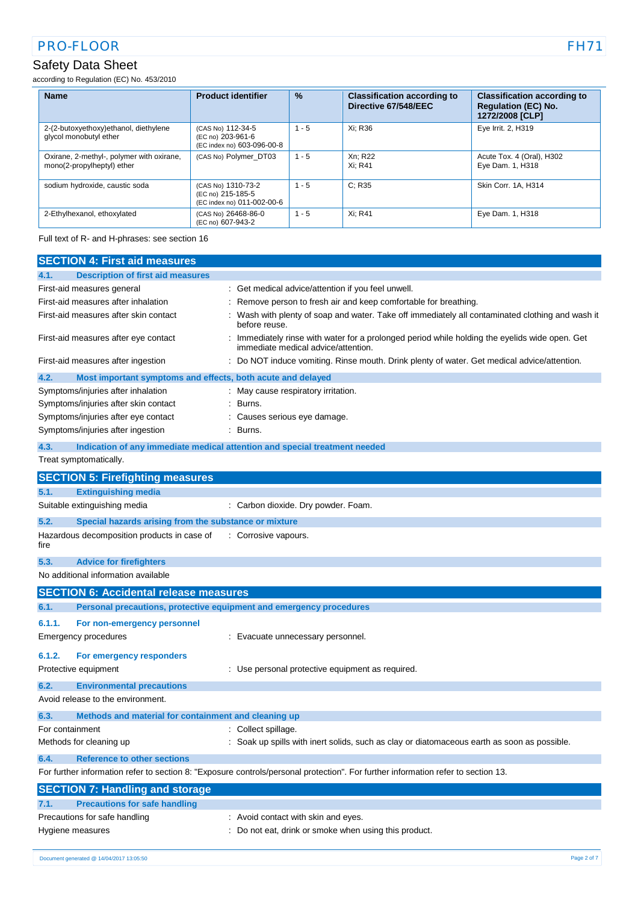# Safety Data Sheet

according to Regulation (EC) No. 453/2010

| <b>Name</b>                                                             | <b>Product identifier</b>                                             | $\frac{9}{6}$ | <b>Classification according to</b><br>Directive 67/548/EEC | <b>Classification according to</b><br><b>Regulation (EC) No.</b><br>1272/2008 [CLP] |
|-------------------------------------------------------------------------|-----------------------------------------------------------------------|---------------|------------------------------------------------------------|-------------------------------------------------------------------------------------|
| 2-(2-butoxyethoxy)ethanol, diethylene<br>glycol monobutyl ether         | (CAS No) 112-34-5<br>(EC no) 203-961-6<br>(EC index no) 603-096-00-8  | $-5$<br>-1    | Xi: R36                                                    | Eye Irrit. 2, H319                                                                  |
| Oxirane, 2-methyl-, polymer with oxirane,<br>mono(2-propylheptyl) ether | (CAS No) Polymer DT03                                                 | $1 - 5$       | Xn; R22<br>Xi: R41                                         | Acute Tox. 4 (Oral), H302<br>Eye Dam. 1, H318                                       |
| sodium hydroxide, caustic soda                                          | (CAS No) 1310-73-2<br>(EC no) 215-185-5<br>(EC index no) 011-002-00-6 | $1 - 5$       | C: R35                                                     | Skin Corr. 1A. H314                                                                 |
| 2-Ethylhexanol, ethoxylated                                             | (CAS No) 26468-86-0<br>(EC no) 607-943-2                              | $1 - 5$       | Xi: R41                                                    | Eye Dam. 1, H318                                                                    |

Full text of R- and H-phrases: see section 16

| <b>SECTION 4: First aid measures</b>                                        |                                                                                                                                     |  |  |
|-----------------------------------------------------------------------------|-------------------------------------------------------------------------------------------------------------------------------------|--|--|
| <b>Description of first aid measures</b><br>4.1.                            |                                                                                                                                     |  |  |
| First-aid measures general                                                  | Get medical advice/attention if you feel unwell.                                                                                    |  |  |
| First-aid measures after inhalation                                         | Remove person to fresh air and keep comfortable for breathing.                                                                      |  |  |
| First-aid measures after skin contact                                       | Wash with plenty of soap and water. Take off immediately all contaminated clothing and wash it<br>before reuse.                     |  |  |
| First-aid measures after eye contact                                        | Immediately rinse with water for a prolonged period while holding the eyelids wide open. Get<br>immediate medical advice/attention. |  |  |
| First-aid measures after ingestion                                          | Do NOT induce vomiting. Rinse mouth. Drink plenty of water. Get medical advice/attention.                                           |  |  |
| 4.2.<br>Most important symptoms and effects, both acute and delayed         |                                                                                                                                     |  |  |
| Symptoms/injuries after inhalation                                          | May cause respiratory irritation.                                                                                                   |  |  |
| Symptoms/injuries after skin contact                                        | Burns.                                                                                                                              |  |  |
| Symptoms/injuries after eye contact                                         | Causes serious eye damage.                                                                                                          |  |  |
| Symptoms/injuries after ingestion                                           | Burns.                                                                                                                              |  |  |
| 4.3.                                                                        | Indication of any immediate medical attention and special treatment needed                                                          |  |  |
| Treat symptomatically.                                                      |                                                                                                                                     |  |  |
| <b>SECTION 5: Firefighting measures</b>                                     |                                                                                                                                     |  |  |
| <b>Extinguishing media</b><br>5.1.                                          |                                                                                                                                     |  |  |
| Suitable extinguishing media                                                | : Carbon dioxide. Dry powder. Foam.                                                                                                 |  |  |
| 5.2.<br>Special hazards arising from the substance or mixture               |                                                                                                                                     |  |  |
| Hazardous decomposition products in case of<br>fire                         | : Corrosive vapours.                                                                                                                |  |  |
| 5.3.<br><b>Advice for firefighters</b>                                      |                                                                                                                                     |  |  |
| No additional information available                                         |                                                                                                                                     |  |  |
| <b>SECTION 6: Accidental release measures</b>                               |                                                                                                                                     |  |  |
| Personal precautions, protective equipment and emergency procedures<br>6.1. |                                                                                                                                     |  |  |
| 6.1.1.<br>For non-emergency personnel                                       |                                                                                                                                     |  |  |
| Emergency procedures                                                        | Evacuate unnecessary personnel.                                                                                                     |  |  |
|                                                                             |                                                                                                                                     |  |  |
| 6.1.2.<br>For emergency responders                                          |                                                                                                                                     |  |  |
| Protective equipment                                                        | : Use personal protective equipment as required.                                                                                    |  |  |
| 6.2.<br><b>Environmental precautions</b>                                    |                                                                                                                                     |  |  |
| Avoid release to the environment.                                           |                                                                                                                                     |  |  |
| 6.3.<br>Methods and material for containment and cleaning up                |                                                                                                                                     |  |  |
| For containment                                                             | : Collect spillage.                                                                                                                 |  |  |
| Methods for cleaning up                                                     | Soak up spills with inert solids, such as clay or diatomaceous earth as soon as possible.                                           |  |  |
| <b>Reference to other sections</b><br>6.4.                                  |                                                                                                                                     |  |  |
|                                                                             | For further information refer to section 8: "Exposure controls/personal protection". For further information refer to section 13.   |  |  |
| <b>SECTION 7: Handling and storage</b>                                      |                                                                                                                                     |  |  |
| <b>Precautions for safe handling</b><br>7.1.                                |                                                                                                                                     |  |  |
| Precautions for safe handling                                               | : Avoid contact with skin and eyes.                                                                                                 |  |  |
| Hygiene measures                                                            | Do not eat, drink or smoke when using this product.                                                                                 |  |  |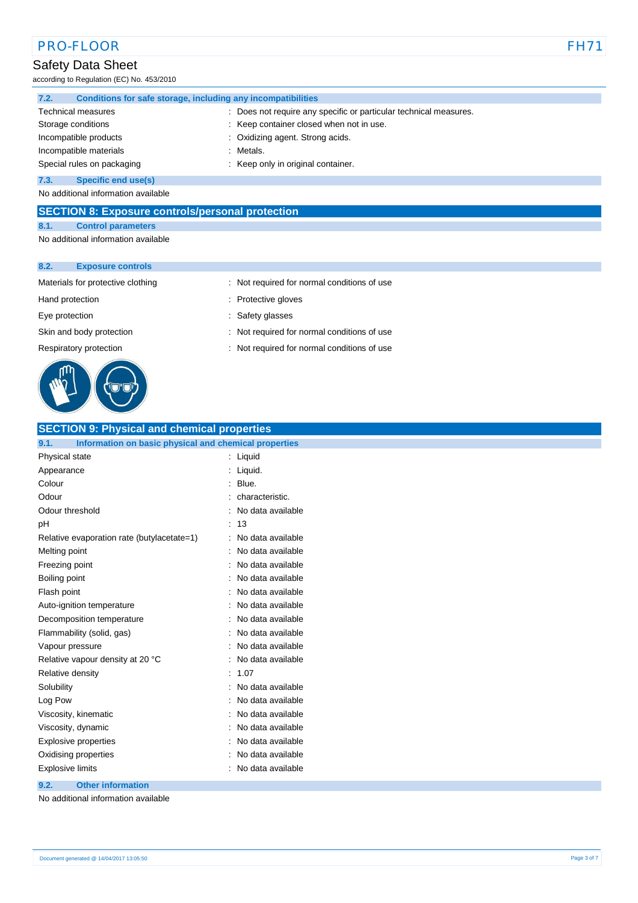### Safety Data Sheet

according to Regulation (EC) No. 453/2010

| 7.2.                               | Conditions for safe storage, including any incompatibilities      |  |  |
|------------------------------------|-------------------------------------------------------------------|--|--|
| <b>Technical measures</b>          | : Does not require any specific or particular technical measures. |  |  |
| Storage conditions                 | : Keep container closed when not in use.                          |  |  |
| Incompatible products              | : Oxidizing agent. Strong acids.                                  |  |  |
| Incompatible materials             | : Metals.                                                         |  |  |
| Special rules on packaging         | : Keep only in original container.                                |  |  |
| 7.3.<br><b>Specific end use(s)</b> |                                                                   |  |  |

No additional information available

### **SECTION 8: Exposure controls/personal protection**

#### **8.1. Control parameters**

No additional information available

### **8.2. Exposure controls**



#### Materials for protective clothing : Not required for normal conditions of use

- Hand protection **in the contract of the contract of the contract of the contract of the contract of the contract of the contract of the contract of the contract of the contract of the contract of the contract of the contra**
- Eye protection  $\qquad \qquad$ : Safety glasses
- Skin and body protection : Not required for normal conditions of use
- Respiratory protection : Not required for normal conditions of use

# **SECTION 9: Physical and chemical properties**

| Information on basic physical and chemical properties<br>9.1. |                   |
|---------------------------------------------------------------|-------------------|
| Physical state                                                | Liquid<br>t       |
| Appearance                                                    | Liquid.           |
| Colour                                                        | Blue.             |
| Odour                                                         | characteristic.   |
| Odour threshold                                               | No data available |
| рH                                                            | 13                |
| Relative evaporation rate (butylacetate=1)                    | No data available |
| Melting point                                                 | No data available |
| Freezing point                                                | No data available |
| Boiling point                                                 | No data available |
| Flash point                                                   | No data available |
| Auto-ignition temperature                                     | No data available |
| Decomposition temperature                                     | No data available |
| Flammability (solid, gas)                                     | No data available |
| Vapour pressure                                               | No data available |
| Relative vapour density at 20 °C                              | No data available |
| Relative density                                              | 1.07              |
| Solubility                                                    | No data available |
| Log Pow                                                       | No data available |
| Viscosity, kinematic                                          | No data available |
| Viscosity, dynamic                                            | No data available |
| Explosive properties                                          | No data available |
| Oxidising properties                                          | No data available |
| <b>Explosive limits</b>                                       | No data available |
|                                                               |                   |

#### **9.2. Other information**

No additional information available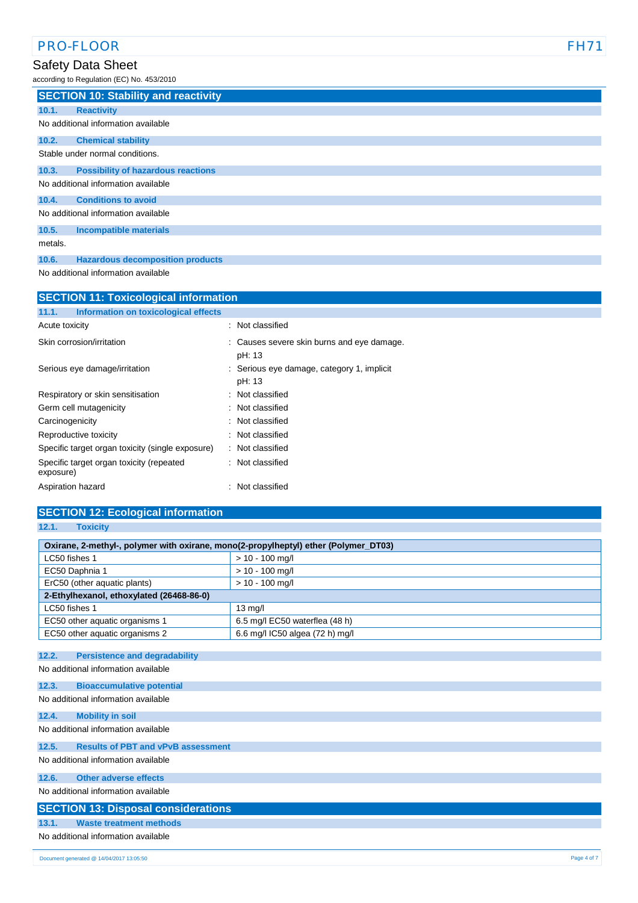# Safety Data Sheet

according to Regulation (EC) No. 453/2010

|         | <b>SECTION 10: Stability and reactivity</b> |
|---------|---------------------------------------------|
| 10.1.   | <b>Reactivity</b>                           |
|         | No additional information available         |
| 10.2.   | <b>Chemical stability</b>                   |
|         | Stable under normal conditions.             |
| 10.3.   | <b>Possibility of hazardous reactions</b>   |
|         | No additional information available         |
| 10.4.   | <b>Conditions to avoid</b>                  |
|         | No additional information available         |
| 10.5.   | <b>Incompatible materials</b>               |
| metals. |                                             |
| 10.6.   | <b>Hazardous decomposition products</b>     |

No additional information available

| <b>SECTION 11: Toxicological information</b>          |                                                      |  |  |
|-------------------------------------------------------|------------------------------------------------------|--|--|
| Information on toxicological effects<br>11.1.         |                                                      |  |  |
| Acute toxicity                                        | : Not classified                                     |  |  |
| Skin corrosion/irritation                             | : Causes severe skin burns and eye damage.<br>pH: 13 |  |  |
| Serious eye damage/irritation                         | : Serious eye damage, category 1, implicit<br>pH: 13 |  |  |
| Respiratory or skin sensitisation                     | : Not classified                                     |  |  |
| Germ cell mutagenicity                                | : Not classified                                     |  |  |
| Carcinogenicity                                       | : Not classified                                     |  |  |
| Reproductive toxicity                                 | : Not classified                                     |  |  |
| Specific target organ toxicity (single exposure)      | : Not classified                                     |  |  |
| Specific target organ toxicity (repeated<br>exposure) | : Not classified                                     |  |  |
| Aspiration hazard                                     | Not classified                                       |  |  |

| <b>SECTION 12: Ecological information</b>                                           |                                 |  |  |
|-------------------------------------------------------------------------------------|---------------------------------|--|--|
| 12.1.<br><b>Toxicity</b>                                                            |                                 |  |  |
| Oxirane, 2-methyl-, polymer with oxirane, mono(2-propylheptyl) ether (Polymer_DT03) |                                 |  |  |
| LC50 fishes 1<br>$> 10 - 100$ mg/l                                                  |                                 |  |  |
| EC50 Daphnia 1                                                                      | $> 10 - 100$ mg/l               |  |  |
| ErC50 (other aquatic plants)                                                        | $> 10 - 100$ mg/l               |  |  |
| 2-Ethylhexanol, ethoxylated (26468-86-0)                                            |                                 |  |  |
| LC50 fishes 1                                                                       | $13$ mg/l                       |  |  |
| EC50 other aquatic organisms 1                                                      | 6.5 mg/l EC50 waterflea (48 h)  |  |  |
| EC50 other aquatic organisms 2                                                      | 6.6 mg/l IC50 algea (72 h) mg/l |  |  |
|                                                                                     |                                 |  |  |
| 12.2.<br><b>Persistence and degradability</b>                                       |                                 |  |  |
| No additional information available                                                 |                                 |  |  |
| 12.3.<br><b>Bioaccumulative potential</b>                                           |                                 |  |  |
| No additional information available                                                 |                                 |  |  |
| <b>Mobility in soil</b><br>12.4.                                                    |                                 |  |  |
| No additional information available                                                 |                                 |  |  |
|                                                                                     |                                 |  |  |
| <b>Results of PBT and vPvB assessment</b><br>12.5.                                  |                                 |  |  |
| No additional information available                                                 |                                 |  |  |
| <b>Other adverse effects</b><br>12.6.                                               |                                 |  |  |
| No additional information available                                                 |                                 |  |  |
| <b>SECTION 13: Disposal considerations</b>                                          |                                 |  |  |
| <b>Waste treatment methods</b><br>13.1.                                             |                                 |  |  |
| No additional information available                                                 |                                 |  |  |
|                                                                                     |                                 |  |  |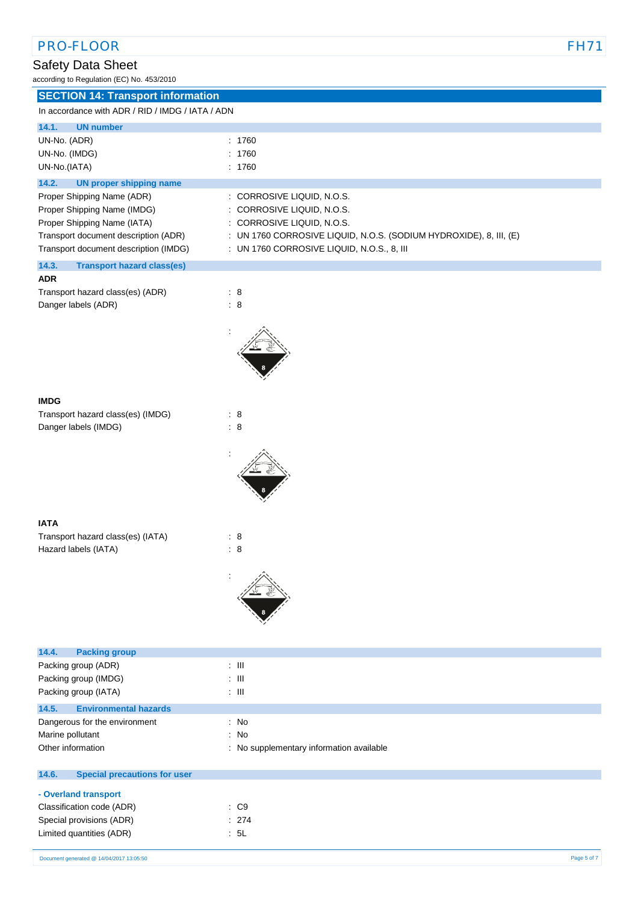### Safety Data Sheet

according to Regulation (EC) No. 453/2010

| <b>SECTION 14: Transport information</b>         |                                                                      |
|--------------------------------------------------|----------------------------------------------------------------------|
| In accordance with ADR / RID / IMDG / IATA / ADN |                                                                      |
| <b>UN number</b><br>14.1.                        |                                                                      |
| UN-No. (ADR)                                     | : 1760                                                               |
| UN-No. (IMDG)                                    | : 1760                                                               |
| UN-No.(IATA)                                     | : 1760                                                               |
| <b>UN proper shipping name</b><br>14.2.          |                                                                      |
| Proper Shipping Name (ADR)                       | : CORROSIVE LIQUID, N.O.S.                                           |
| Proper Shipping Name (IMDG)                      | : CORROSIVE LIQUID, N.O.S.                                           |
| Proper Shipping Name (IATA)                      | : CORROSIVE LIQUID, N.O.S.                                           |
| Transport document description (ADR)             | : UN 1760 CORROSIVE LIQUID, N.O.S. (SODIUM HYDROXIDE), 8, III, $(E)$ |
| Transport document description (IMDG)            | $\pm$ UN 1760 CORROSIVE LIQUID, N.O.S., 8, III                       |
| 14.3.<br><b>Transport hazard class(es)</b>       |                                                                      |

| <b>ADR</b>                       |     |  |
|----------------------------------|-----|--|
| Transport hazard class(es) (ADR) | : 8 |  |
| Danger labels (ADR)              | : 8 |  |



| Transport hazard class(es) (IMDG) | : 8 |  |
|-----------------------------------|-----|--|
| Danger labels (IMDG)              | : 8 |  |



#### **IATA**

Transport hazard class(es) (IATA) : 8 Hazard labels (IATA) : 8



| 14.4.<br><b>Packing group</b>                |                                          |
|----------------------------------------------|------------------------------------------|
| Packing group (ADR)                          | $\pm$ 111                                |
| Packing group (IMDG)                         | : III                                    |
| Packing group (IATA)                         | $\pm$ 111                                |
| 14.5.<br><b>Environmental hazards</b>        |                                          |
| Dangerous for the environment                | : No                                     |
| Marine pollutant                             | : No                                     |
| Other information                            | : No supplementary information available |
| 14.6.<br><b>Special precautions for user</b> |                                          |
| - Overland transport                         |                                          |
| Classification code (ADR)                    | $\therefore$ C9                          |
| Special provisions (ADR)                     | : 274                                    |
| Limited quantities (ADR)                     | : 5L                                     |
|                                              |                                          |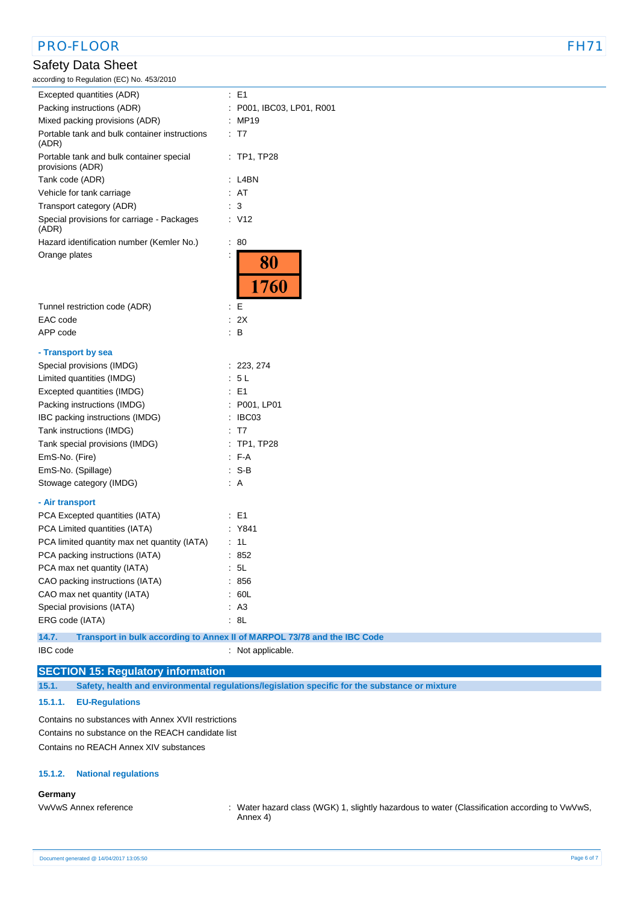# PRO-FLOOR FH7

### Safety Data Sheet

according to Regulation (EC) No. 453/2010

| $\sim$ $\sim$ $\sim$                                         |   |                           |
|--------------------------------------------------------------|---|---------------------------|
| Excepted quantities (ADR)                                    |   | $\therefore$ E1           |
| Packing instructions (ADR)                                   |   | : P001, IBC03, LP01, R001 |
| Mixed packing provisions (ADR)                               |   | : MP19                    |
| Portable tank and bulk container instructions<br>(ADR)       |   | T7                        |
| Portable tank and bulk container special<br>provisions (ADR) | ÷ | TP1, TP28                 |
| Tank code (ADR)                                              |   | : L4BN                    |
| Vehicle for tank carriage                                    |   | : AT                      |
| Transport category (ADR)                                     |   | 3                         |
| Special provisions for carriage - Packages<br>(ADR)          |   | : V12                     |
| Hazard identification number (Kemler No.)                    | ÷ | 80                        |
| Orange plates                                                | t | 80                        |
|                                                              |   | 1760                      |
| Tunnel restriction code (ADR)                                |   | : E                       |
| EAC code                                                     |   | : 2X                      |
| APP code                                                     | ÷ | B                         |
|                                                              |   |                           |
| - Transport by sea                                           |   |                           |
| Special provisions (IMDG)                                    |   | : 223, 274                |
| Limited quantities (IMDG)                                    |   | : 5L                      |
| Excepted quantities (IMDG)                                   |   | $\therefore$ E1           |
| Packing instructions (IMDG)                                  |   | : P001, LP01              |
| IBC packing instructions (IMDG)                              |   | $\therefore$ IBC03        |
| Tank instructions (IMDG)                                     |   | : T7                      |
| Tank special provisions (IMDG)                               |   | $:$ TP1, TP28             |
| EmS-No. (Fire)                                               |   | $F-A$                     |
| EmS-No. (Spillage)                                           |   | $: S-B$                   |
| Stowage category (IMDG)                                      |   | : A                       |
| - Air transport                                              |   |                           |
| PCA Excepted quantities (IATA)                               |   | $\therefore$ E1           |
| PCA Limited quantities (IATA)                                |   | : Y841                    |
| PCA limited quantity max net quantity (IATA)                 |   | : 1L                      |
| PCA packing instructions (IATA)                              |   | : 852                     |
| PCA max net quantity (IATA)                                  |   | : 5L                      |
| CAO packing instructions (IATA)                              |   | : 856                     |
| CAO max net quantity (IATA)                                  |   | : 60L                     |
| Special provisions (IATA)                                    |   | : A3                      |
| ERG code (IATA)                                              |   | : 8L                      |
|                                                              |   |                           |

**14.7. Transport in bulk according to Annex II of MARPOL 73/78 and the IBC Code**

IBC code : Not applicable.

### **SECTION 15: Regulatory information**

**15.1. Safety, health and environmental regulations/legislation specific for the substance or mixture**

### **15.1.1. EU-Regulations**

Contains no substances with Annex XVII restrictions Contains no substance on the REACH candidate list Contains no REACH Annex XIV substances

### **15.1.2. National regulations**

### **Germany**

VwVwS Annex reference : Water hazard class (WGK) 1, slightly hazardous to water (Classification according to VwVwS, Annex 4)